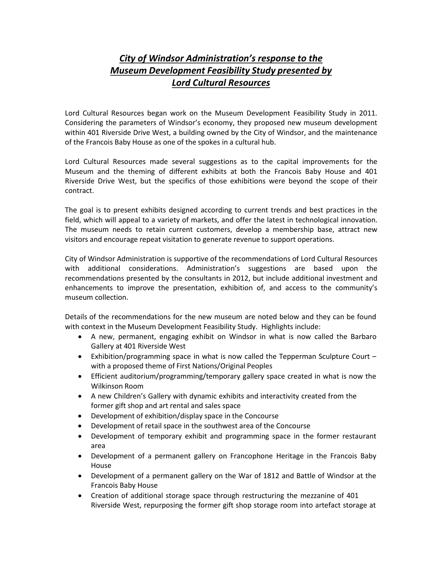# *City of Windsor Administration's response to the Museum Development Feasibility Study presented by Lord Cultural Resources*

Lord Cultural Resources began work on the Museum Development Feasibility Study in 2011. Considering the parameters of Windsor's economy, they proposed new museum development within 401 Riverside Drive West, a building owned by the City of Windsor, and the maintenance of the Francois Baby House as one of the spokes in a cultural hub.

Lord Cultural Resources made several suggestions as to the capital improvements for the Museum and the theming of different exhibits at both the Francois Baby House and 401 Riverside Drive West, but the specifics of those exhibitions were beyond the scope of their contract.

The goal is to present exhibits designed according to current trends and best practices in the field, which will appeal to a variety of markets, and offer the latest in technological innovation. The museum needs to retain current customers, develop a membership base, attract new visitors and encourage repeat visitation to generate revenue to support operations.

City of Windsor Administration is supportive of the recommendations of Lord Cultural Resources with additional considerations. Administration's suggestions are based upon the recommendations presented by the consultants in 2012, but include additional investment and enhancements to improve the presentation, exhibition of, and access to the community's museum collection.

Details of the recommendations for the new museum are noted below and they can be found with context in the Museum Development Feasibility Study. Highlights include:

- A new, permanent, engaging exhibit on Windsor in what is now called the Barbaro Gallery at 401 Riverside West
- Exhibition/programming space in what is now called the Tepperman Sculpture Court with a proposed theme of First Nations/Original Peoples
- Efficient auditorium/programming/temporary gallery space created in what is now the Wilkinson Room
- A new Children's Gallery with dynamic exhibits and interactivity created from the former gift shop and art rental and sales space
- Development of exhibition/display space in the Concourse
- Development of retail space in the southwest area of the Concourse
- Development of temporary exhibit and programming space in the former restaurant area
- Development of a permanent gallery on Francophone Heritage in the Francois Baby House
- Development of a permanent gallery on the War of 1812 and Battle of Windsor at the Francois Baby House
- Creation of additional storage space through restructuring the mezzanine of 401 Riverside West, repurposing the former gift shop storage room into artefact storage at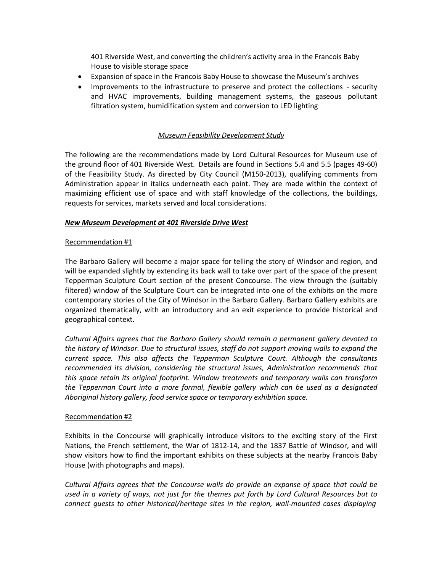401 Riverside West, and converting the children's activity area in the Francois Baby House to visible storage space

- Expansion of space in the Francois Baby House to showcase the Museum's archives
- Improvements to the infrastructure to preserve and protect the collections security and HVAC improvements, building management systems, the gaseous pollutant filtration system, humidification system and conversion to LED lighting

# *Museum Feasibility Development Study*

The following are the recommendations made by Lord Cultural Resources for Museum use of the ground floor of 401 Riverside West. Details are found in Sections 5.4 and 5.5 (pages 49-60) of the Feasibility Study. As directed by City Council (M150-2013), qualifying comments from Administration appear in italics underneath each point. They are made within the context of maximizing efficient use of space and with staff knowledge of the collections, the buildings, requests for services, markets served and local considerations.

# *New Museum Development at 401 Riverside Drive West*

## Recommendation #1

The Barbaro Gallery will become a major space for telling the story of Windsor and region, and will be expanded slightly by extending its back wall to take over part of the space of the present Tepperman Sculpture Court section of the present Concourse. The view through the (suitably filtered) window of the Sculpture Court can be integrated into one of the exhibits on the more contemporary stories of the City of Windsor in the Barbaro Gallery. Barbaro Gallery exhibits are organized thematically, with an introductory and an exit experience to provide historical and geographical context.

*Cultural Affairs agrees that the Barbaro Gallery should remain a permanent gallery devoted to the history of Windsor. Due to structural issues, staff do not support moving walls to expand the current space. This also affects the Tepperman Sculpture Court. Although the consultants recommended its division, considering the structural issues, Administration recommends that this space retain its original footprint. Window treatments and temporary walls can transform the Tepperman Court into a more formal, flexible gallery which can be used as a designated Aboriginal history gallery, food service space or temporary exhibition space.*

#### Recommendation #2

Exhibits in the Concourse will graphically introduce visitors to the exciting story of the First Nations, the French settlement, the War of 1812-14, and the 1837 Battle of Windsor, and will show visitors how to find the important exhibits on these subjects at the nearby Francois Baby House (with photographs and maps).

*Cultural Affairs agrees that the Concourse walls do provide an expanse of space that could be used in a variety of ways, not just for the themes put forth by Lord Cultural Resources but to connect guests to other historical/heritage sites in the region, wall-mounted cases displaying*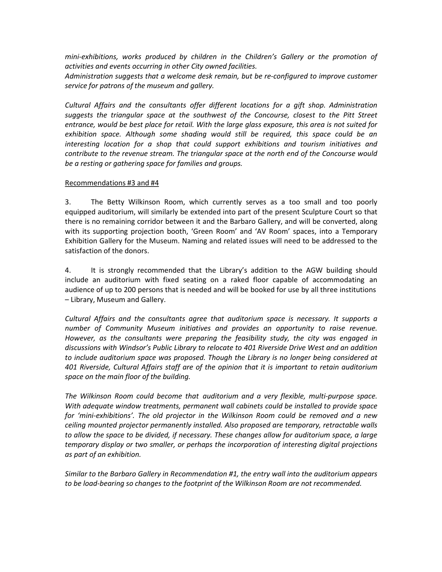*mini-exhibitions, works produced by children in the Children's Gallery or the promotion of activities and events occurring in other City owned facilities.*

*Administration suggests that a welcome desk remain, but be re-configured to improve customer service for patrons of the museum and gallery.*

*Cultural Affairs and the consultants offer different locations for a gift shop. Administration suggests the triangular space at the southwest of the Concourse, closest to the Pitt Street entrance, would be best place for retail. With the large glass exposure, this area is not suited for exhibition space. Although some shading would still be required, this space could be an interesting location for a shop that could support exhibitions and tourism initiatives and contribute to the revenue stream. The triangular space at the north end of the Concourse would be a resting or gathering space for families and groups.*

# Recommendations #3 and #4

3. The Betty Wilkinson Room, which currently serves as a too small and too poorly equipped auditorium, will similarly be extended into part of the present Sculpture Court so that there is no remaining corridor between it and the Barbaro Gallery, and will be converted, along with its supporting projection booth, 'Green Room' and 'AV Room' spaces, into a Temporary Exhibition Gallery for the Museum. Naming and related issues will need to be addressed to the satisfaction of the donors.

4. It is strongly recommended that the Library's addition to the AGW building should include an auditorium with fixed seating on a raked floor capable of accommodating an audience of up to 200 persons that is needed and will be booked for use by all three institutions – Library, Museum and Gallery.

*Cultural Affairs and the consultants agree that auditorium space is necessary. It supports a number of Community Museum initiatives and provides an opportunity to raise revenue. However, as the consultants were preparing the feasibility study, the city was engaged in discussions with Windsor's Public Library to relocate to 401 Riverside Drive West and an addition to include auditorium space was proposed. Though the Library is no longer being considered at 401 Riverside, Cultural Affairs staff are of the opinion that it is important to retain auditorium space on the main floor of the building.*

*The Wilkinson Room could become that auditorium and a very flexible, multi-purpose space. With adequate window treatments, permanent wall cabinets could be installed to provide space for 'mini-exhibitions'. The old projector in the Wilkinson Room could be removed and a new ceiling mounted projector permanently installed. Also proposed are temporary, retractable walls to allow the space to be divided, if necessary. These changes allow for auditorium space, a large temporary display or two smaller, or perhaps the incorporation of interesting digital projections as part of an exhibition.*

*Similar to the Barbaro Gallery in Recommendation #1, the entry wall into the auditorium appears to be load-bearing so changes to the footprint of the Wilkinson Room are not recommended.*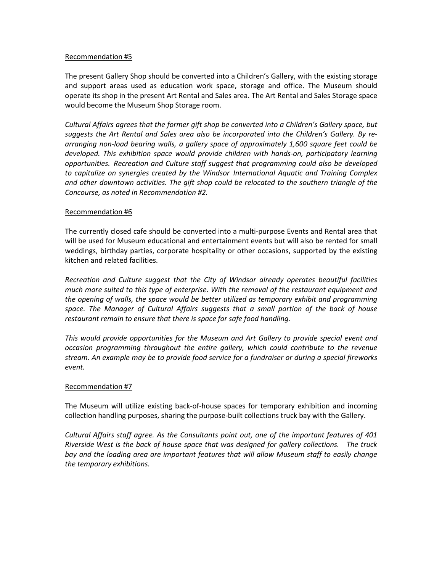#### Recommendation #5

The present Gallery Shop should be converted into a Children's Gallery, with the existing storage and support areas used as education work space, storage and office. The Museum should operate its shop in the present Art Rental and Sales area. The Art Rental and Sales Storage space would become the Museum Shop Storage room.

*Cultural Affairs agrees that the former gift shop be converted into a Children's Gallery space, but suggests the Art Rental and Sales area also be incorporated into the Children's Gallery. By rearranging non-load bearing walls, a gallery space of approximately 1,600 square feet could be developed. This exhibition space would provide children with hands-on, participatory learning opportunities. Recreation and Culture staff suggest that programming could also be developed to capitalize on synergies created by the Windsor International Aquatic and Training Complex and other downtown activities. The gift shop could be relocated to the southern triangle of the Concourse, as noted in Recommendation #2.*

## Recommendation #6

The currently closed cafe should be converted into a multi-purpose Events and Rental area that will be used for Museum educational and entertainment events but will also be rented for small weddings, birthday parties, corporate hospitality or other occasions, supported by the existing kitchen and related facilities.

*Recreation and Culture suggest that the City of Windsor already operates beautiful facilities much more suited to this type of enterprise. With the removal of the restaurant equipment and the opening of walls, the space would be better utilized as temporary exhibit and programming space. The Manager of Cultural Affairs suggests that a small portion of the back of house restaurant remain to ensure that there is space for safe food handling.*

*This would provide opportunities for the Museum and Art Gallery to provide special event and occasion programming throughout the entire gallery, which could contribute to the revenue stream. An example may be to provide food service for a fundraiser or during a special fireworks event.*

# Recommendation #7

The Museum will utilize existing back-of-house spaces for temporary exhibition and incoming collection handling purposes, sharing the purpose-built collections truck bay with the Gallery.

*Cultural Affairs staff agree. As the Consultants point out, one of the important features of 401 Riverside West is the back of house space that was designed for gallery collections. The truck bay and the loading area are important features that will allow Museum staff to easily change the temporary exhibitions.*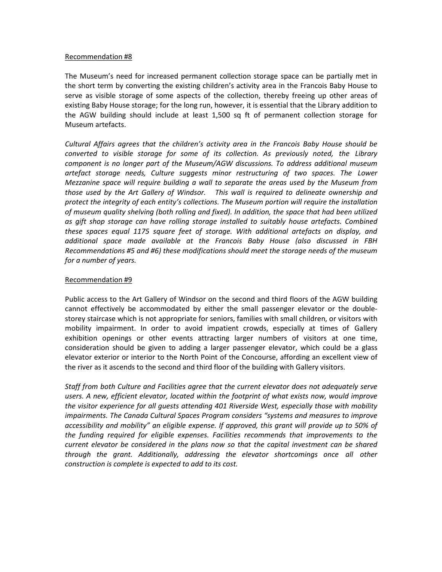#### Recommendation #8

The Museum's need for increased permanent collection storage space can be partially met in the short term by converting the existing children's activity area in the Francois Baby House to serve as visible storage of some aspects of the collection, thereby freeing up other areas of existing Baby House storage; for the long run, however, it is essential that the Library addition to the AGW building should include at least 1,500 sq ft of permanent collection storage for Museum artefacts.

*Cultural Affairs agrees that the children's activity area in the Francois Baby House should be converted to visible storage for some of its collection. As previously noted, the Library component is no longer part of the Museum/AGW discussions. To address additional museum artefact storage needs, Culture suggests minor restructuring of two spaces. The Lower Mezzanine space will require building a wall to separate the areas used by the Museum from those used by the Art Gallery of Windsor. This wall is required to delineate ownership and protect the integrity of each entity's collections. The Museum portion will require the installation of museum quality shelving (both rolling and fixed). In addition, the space that had been utilized as gift shop storage can have rolling storage installed to suitably house artefacts. Combined these spaces equal 1175 square feet of storage. With additional artefacts on display, and additional space made available at the Francois Baby House (also discussed in FBH Recommendations #5 and #6) these modifications should meet the storage needs of the museum for a number of years.*

## Recommendation #9

Public access to the Art Gallery of Windsor on the second and third floors of the AGW building cannot effectively be accommodated by either the small passenger elevator or the doublestorey staircase which is not appropriate for seniors, families with small children, or visitors with mobility impairment. In order to avoid impatient crowds, especially at times of Gallery exhibition openings or other events attracting larger numbers of visitors at one time, consideration should be given to adding a larger passenger elevator, which could be a glass elevator exterior or interior to the North Point of the Concourse, affording an excellent view of the river as it ascends to the second and third floor of the building with Gallery visitors.

*Staff from both Culture and Facilities agree that the current elevator does not adequately serve users. A new, efficient elevator, located within the footprint of what exists now, would improve the visitor experience for all guests attending 401 Riverside West, especially those with mobility impairments. The Canada Cultural Spaces Program considers "systems and measures to improve accessibility and mobility" an eligible expense. If approved, this grant will provide up to 50% of the funding required for eligible expenses. Facilities recommends that improvements to the current elevator be considered in the plans now so that the capital investment can be shared through the grant. Additionally, addressing the elevator shortcomings once all other construction is complete is expected to add to its cost.*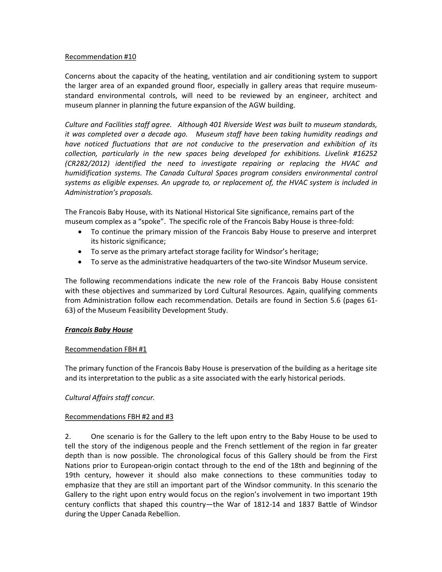#### Recommendation #10

Concerns about the capacity of the heating, ventilation and air conditioning system to support the larger area of an expanded ground floor, especially in gallery areas that require museumstandard environmental controls, will need to be reviewed by an engineer, architect and museum planner in planning the future expansion of the AGW building.

*Culture and Facilities staff agree. Although 401 Riverside West was built to museum standards, it was completed over a decade ago. Museum staff have been taking humidity readings and have noticed fluctuations that are not conducive to the preservation and exhibition of its collection, particularly in the new spaces being developed for exhibitions. Livelink #16252 (CR282/2012) identified the need to investigate repairing or replacing the HVAC and humidification systems. The Canada Cultural Spaces program considers environmental control systems as eligible expenses. An upgrade to, or replacement of, the HVAC system is included in Administration's proposals.*

The Francois Baby House, with its National Historical Site significance, remains part of the museum complex as a "spoke". The specific role of the Francois Baby House is three-fold:

- To continue the primary mission of the Francois Baby House to preserve and interpret its historic significance;
- To serve asthe primary artefact storage facility for Windsor's heritage;
- To serve as the administrative headquarters of the two-site Windsor Museum service.

The following recommendations indicate the new role of the Francois Baby House consistent with these objectives and summarized by Lord Cultural Resources. Again, qualifying comments from Administration follow each recommendation. Details are found in Section 5.6 (pages 61- 63) of the Museum Feasibility Development Study.

# *Francois Baby House*

# Recommendation FBH #1

The primary function of the Francois Baby House is preservation of the building as a heritage site and its interpretation to the public as a site associated with the early historical periods.

# *Cultural Affairs staff concur.*

# Recommendations FBH #2 and #3

2. One scenario is for the Gallery to the left upon entry to the Baby House to be used to tell the story of the indigenous people and the French settlement of the region in far greater depth than is now possible. The chronological focus of this Gallery should be from the First Nations prior to European-origin contact through to the end of the 18th and beginning of the 19th century, however it should also make connections to these communities today to emphasize that they are still an important part of the Windsor community. In this scenario the Gallery to the right upon entry would focus on the region's involvement in two important 19th century conflicts that shaped this country—the War of 1812-14 and 1837 Battle of Windsor during the Upper Canada Rebellion.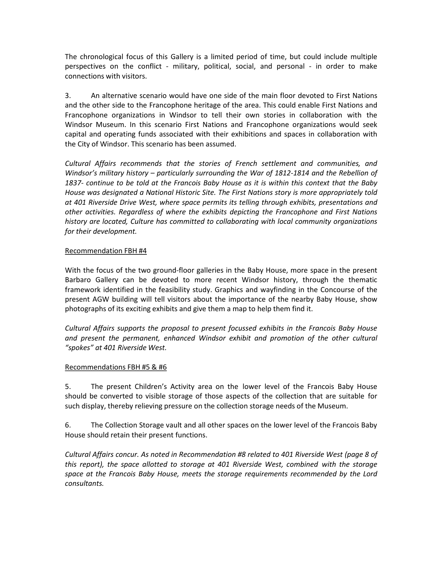The chronological focus of this Gallery is a limited period of time, but could include multiple perspectives on the conflict - military, political, social, and personal - in order to make connections with visitors.

3. An alternative scenario would have one side of the main floor devoted to First Nations and the other side to the Francophone heritage of the area. This could enable First Nations and Francophone organizations in Windsor to tell their own stories in collaboration with the Windsor Museum. In this scenario First Nations and Francophone organizations would seek capital and operating funds associated with their exhibitions and spaces in collaboration with the City of Windsor. This scenario has been assumed.

*Cultural Affairs recommends that the stories of French settlement and communities, and Windsor's military history – particularly surrounding the War of 1812-1814 and the Rebellion of 1837- continue to be told at the Francois Baby House as it is within this context that the Baby House was designated a National Historic Site. The First Nations story is more appropriately told at 401 Riverside Drive West, where space permits its telling through exhibits, presentations and other activities. Regardless of where the exhibits depicting the Francophone and First Nations history are located, Culture has committed to collaborating with local community organizations for their development.*

# Recommendation FBH #4

With the focus of the two ground-floor galleries in the Baby House, more space in the present Barbaro Gallery can be devoted to more recent Windsor history, through the thematic framework identified in the feasibility study. Graphics and wayfinding in the Concourse of the present AGW building will tell visitors about the importance of the nearby Baby House, show photographs of its exciting exhibits and give them a map to help them find it.

*Cultural Affairs supports the proposal to present focussed exhibits in the Francois Baby House and present the permanent, enhanced Windsor exhibit and promotion of the other cultural "spokes" at 401 Riverside West.*

# Recommendations FBH #5 & #6

5. The present Children's Activity area on the lower level of the Francois Baby House should be converted to visible storage of those aspects of the collection that are suitable for such display, thereby relieving pressure on the collection storage needs of the Museum.

6. The Collection Storage vault and all other spaces on the lower level of the Francois Baby House should retain their present functions.

*Cultural Affairs concur. As noted in Recommendation #8 related to 401 Riverside West (page 8 of this report), the space allotted to storage at 401 Riverside West, combined with the storage space at the Francois Baby House, meets the storage requirements recommended by the Lord consultants.*